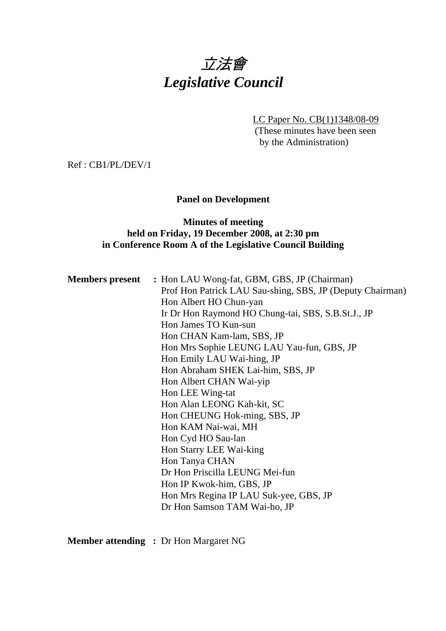# 立法會 *Legislative Council*

LC Paper No. CB(1)1348/08-09 (These minutes have been seen by the Administration)

Ref : CB1/PL/DEV/1

# **Panel on Development**

# **Minutes of meeting held on Friday, 19 December 2008, at 2:30 pm in Conference Room A of the Legislative Council Building**

| <b>Members present</b> : Hon LAU Wong-fat, GBM, GBS, JP (Chairman) |
|--------------------------------------------------------------------|
| Prof Hon Patrick LAU Sau-shing, SBS, JP (Deputy Chairman)          |
| Hon Albert HO Chun-yan                                             |
| Ir Dr Hon Raymond HO Chung-tai, SBS, S.B.St.J., JP                 |
| Hon James TO Kun-sun                                               |
| Hon CHAN Kam-lam, SBS, JP                                          |
| Hon Mrs Sophie LEUNG LAU Yau-fun, GBS, JP                          |
| Hon Emily LAU Wai-hing, JP                                         |
| Hon Abraham SHEK Lai-him, SBS, JP                                  |
| Hon Albert CHAN Wai-yip                                            |
| Hon LEE Wing-tat                                                   |
| Hon Alan LEONG Kah-kit, SC                                         |
| Hon CHEUNG Hok-ming, SBS, JP                                       |
| Hon KAM Nai-wai, MH                                                |
| Hon Cyd HO Sau-lan                                                 |
| Hon Starry LEE Wai-king                                            |
| Hon Tanya CHAN                                                     |
| Dr Hon Priscilla LEUNG Mei-fun                                     |
| Hon IP Kwok-him, GBS, JP                                           |
| Hon Mrs Regina IP LAU Suk-yee, GBS, JP                             |
| Dr Hon Samson TAM Wai-ho, JP                                       |
|                                                                    |

**Member attending :** Dr Hon Margaret NG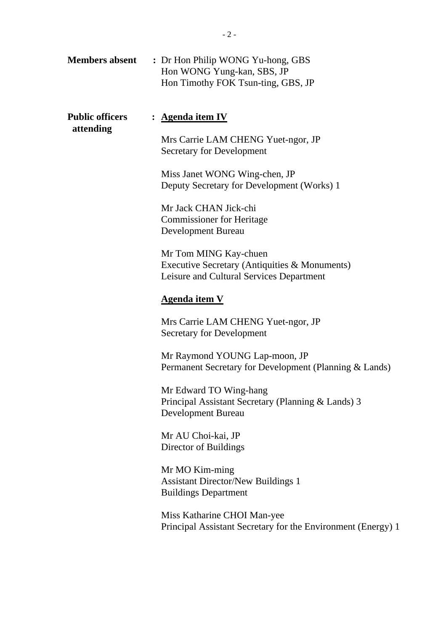| <b>Members absent</b>               | : Dr Hon Philip WONG Yu-hong, GBS<br>Hon WONG Yung-kan, SBS, JP<br>Hon Timothy FOK Tsun-ting, GBS, JP                                                                            |
|-------------------------------------|----------------------------------------------------------------------------------------------------------------------------------------------------------------------------------|
| <b>Public officers</b><br>attending | : <u>Agenda item IV</u><br>Mrs Carrie LAM CHENG Yuet-ngor, JP<br><b>Secretary for Development</b><br>Miss Janet WONG Wing-chen, JP<br>Deputy Secretary for Development (Works) 1 |
|                                     | Mr Jack CHAN Jick-chi<br><b>Commissioner for Heritage</b><br><b>Development Bureau</b>                                                                                           |
|                                     | Mr Tom MING Kay-chuen<br>Executive Secretary (Antiquities & Monuments)<br>Leisure and Cultural Services Department                                                               |
|                                     | <b>Agenda item V</b>                                                                                                                                                             |
|                                     | Mrs Carrie LAM CHENG Yuet-ngor, JP<br>Secretary for Development                                                                                                                  |
|                                     | Mr Raymond YOUNG Lap-moon, JP<br>Permanent Secretary for Development (Planning & Lands)                                                                                          |
|                                     | Mr Edward TO Wing-hang<br>Principal Assistant Secretary (Planning & Lands) 3<br>Development Bureau                                                                               |
|                                     | Mr AU Choi-kai, JP<br>Director of Buildings                                                                                                                                      |
|                                     | Mr MO Kim-ming<br><b>Assistant Director/New Buildings 1</b><br><b>Buildings Department</b>                                                                                       |
|                                     | Miss Katharine CHOI Man-yee<br>Principal Assistant Secretary for the Environment (Energy) 1                                                                                      |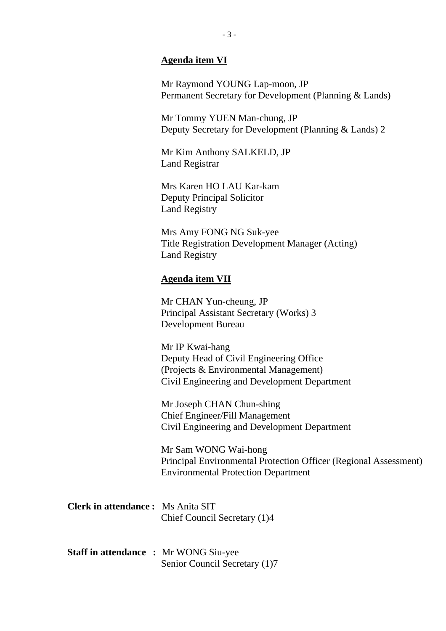#### **Agenda item VI**

Mr Raymond YOUNG Lap-moon, JP Permanent Secretary for Development (Planning & Lands)

Mr Tommy YUEN Man-chung, JP Deputy Secretary for Development (Planning & Lands) 2

Mr Kim Anthony SALKELD, JP Land Registrar

Mrs Karen HO LAU Kar-kam Deputy Principal Solicitor Land Registry

Mrs Amy FONG NG Suk-yee Title Registration Development Manager (Acting) Land Registry

#### **Agenda item VII**

Mr CHAN Yun-cheung, JP Principal Assistant Secretary (Works) 3 Development Bureau

Mr IP Kwai-hang Deputy Head of Civil Engineering Office (Projects & Environmental Management) Civil Engineering and Development Department

Mr Joseph CHAN Chun-shing Chief Engineer/Fill Management Civil Engineering and Development Department

Mr Sam WONG Wai-hong Principal Environmental Protection Officer (Regional Assessment) Environmental Protection Department

| <b>Clerk in attendance:</b> Ms Anita SIT |                              |  |
|------------------------------------------|------------------------------|--|
|                                          | Chief Council Secretary (1)4 |  |

**Staff in attendance :** Mr WONG Siu-yee Senior Council Secretary (1)7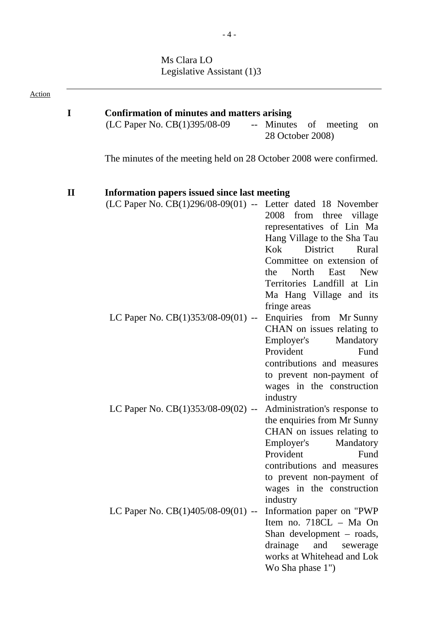Ms Clara LO Legislative Assistant (1)3

| <b>Action</b> |              |                                                                    |                                                                                                                                                                                                                                                           |  |
|---------------|--------------|--------------------------------------------------------------------|-----------------------------------------------------------------------------------------------------------------------------------------------------------------------------------------------------------------------------------------------------------|--|
|               | I            | <b>Confirmation of minutes and matters arising</b>                 |                                                                                                                                                                                                                                                           |  |
|               |              | $(LC$ Paper No. $CB(1)395/08-09$ -- Minutes                        | of meeting<br>on<br>28 October 2008)                                                                                                                                                                                                                      |  |
|               |              | The minutes of the meeting held on 28 October 2008 were confirmed. |                                                                                                                                                                                                                                                           |  |
|               | $\mathbf{I}$ | Information papers issued since last meeting                       |                                                                                                                                                                                                                                                           |  |
|               |              | $(LC$ Paper No. $CB(1)296/08-09(01)$ -- Letter dated 18 November   | 2008<br>from three village<br>representatives of Lin Ma<br>Hang Village to the Sha Tau<br>Kok<br>District<br>Rural<br>Committee on extension of<br>North East<br>the<br><b>New</b><br>Territories Landfill at Lin<br>Ma Hang Village and its              |  |
|               |              | LC Paper No. $CB(1)353/08-09(01)$ --                               | fringe areas<br>Enquiries from Mr Sunny<br>CHAN on issues relating to<br>Employer's<br>Mandatory<br>Provident<br>Fund<br>contributions and measures<br>to prevent non-payment of<br>wages in the construction                                             |  |
|               |              | LC Paper No. CB(1)353/08-09(02) --                                 | industry<br>Administration's response to<br>the enquiries from Mr Sunny<br>CHAN on issues relating to<br>Employer's<br>Mandatory<br>Provident<br>Fund<br>contributions and measures<br>to prevent non-payment of<br>wages in the construction<br>industry |  |
|               |              | LC Paper No. CB(1)405/08-09(01) --                                 | Information paper on "PWP<br>Item no. 718CL - Ma On<br>Shan development – roads,<br>drainage<br>and<br>sewerage<br>works at Whitehead and Lok<br>Wo Sha phase 1")                                                                                         |  |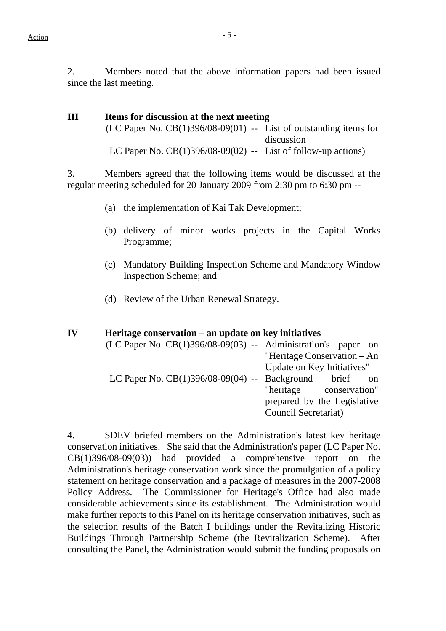2. Members noted that the above information papers had been issued since the last meeting.

# **III Items for discussion at the next meeting**   $(LC$  Paper No.  $CB(1)396/08-09(01)$  -- List of outstanding items for discussion LC Paper No.  $CB(1)396/08-09(02)$  -- List of follow-up actions)

3. Members agreed that the following items would be discussed at the regular meeting scheduled for 20 January 2009 from 2:30 pm to 6:30 pm --

- (a) the implementation of Kai Tak Development;
- (b) delivery of minor works projects in the Capital Works Programme;
- (c) Mandatory Building Inspection Scheme and Mandatory Window Inspection Scheme; and

Council Secretariat)

(d) Review of the Urban Renewal Strategy.

# **IV Heritage conservation – an update on key initiatives**  (LC Paper No. CB(1)396/08-09(03) -- Administration's paper on "Heritage Conservation – An Update on Key Initiatives" LC Paper No.  $CB(1)396/08-09(04)$  -- Background brief on "heritage conservation" prepared by the Legislative

4. SDEV briefed members on the Administration's latest key heritage conservation initiatives. She said that the Administration's paper (LC Paper No. CB(1)396/08-09(03)) had provided a comprehensive report on the Administration's heritage conservation work since the promulgation of a policy statement on heritage conservation and a package of measures in the 2007-2008 Policy Address. The Commissioner for Heritage's Office had also made considerable achievements since its establishment. The Administration would make further reports to this Panel on its heritage conservation initiatives, such as the selection results of the Batch I buildings under the Revitalizing Historic Buildings Through Partnership Scheme (the Revitalization Scheme). After consulting the Panel, the Administration would submit the funding proposals on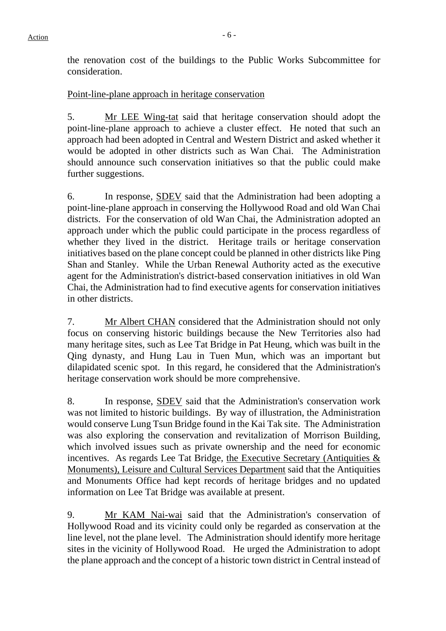# Point-line-plane approach in heritage conservation

5. Mr LEE Wing-tat said that heritage conservation should adopt the point-line-plane approach to achieve a cluster effect. He noted that such an approach had been adopted in Central and Western District and asked whether it would be adopted in other districts such as Wan Chai. The Administration should announce such conservation initiatives so that the public could make further suggestions.

6. In response, SDEV said that the Administration had been adopting a point-line-plane approach in conserving the Hollywood Road and old Wan Chai districts. For the conservation of old Wan Chai, the Administration adopted an approach under which the public could participate in the process regardless of whether they lived in the district. Heritage trails or heritage conservation initiatives based on the plane concept could be planned in other districts like Ping Shan and Stanley. While the Urban Renewal Authority acted as the executive agent for the Administration's district-based conservation initiatives in old Wan Chai, the Administration had to find executive agents for conservation initiatives in other districts.

7. Mr Albert CHAN considered that the Administration should not only focus on conserving historic buildings because the New Territories also had many heritage sites, such as Lee Tat Bridge in Pat Heung, which was built in the Qing dynasty, and Hung Lau in Tuen Mun, which was an important but dilapidated scenic spot. In this regard, he considered that the Administration's heritage conservation work should be more comprehensive.

8. In response, SDEV said that the Administration's conservation work was not limited to historic buildings. By way of illustration, the Administration would conserve Lung Tsun Bridge found in the Kai Tak site. The Administration was also exploring the conservation and revitalization of Morrison Building, which involved issues such as private ownership and the need for economic incentives. As regards Lee Tat Bridge, the Executive Secretary (Antiquities  $\&$ Monuments), Leisure and Cultural Services Department said that the Antiquities and Monuments Office had kept records of heritage bridges and no updated information on Lee Tat Bridge was available at present.

9. Mr KAM Nai-wai said that the Administration's conservation of Hollywood Road and its vicinity could only be regarded as conservation at the line level, not the plane level. The Administration should identify more heritage sites in the vicinity of Hollywood Road. He urged the Administration to adopt the plane approach and the concept of a historic town district in Central instead of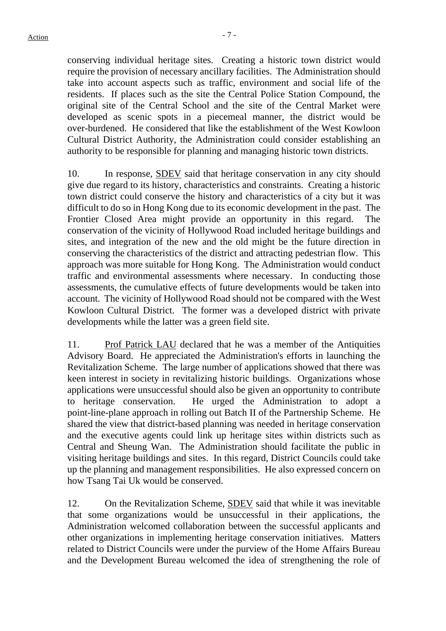conserving individual heritage sites. Creating a historic town district would require the provision of necessary ancillary facilities. The Administration should take into account aspects such as traffic, environment and social life of the residents. If places such as the site the Central Police Station Compound, the original site of the Central School and the site of the Central Market were developed as scenic spots in a piecemeal manner, the district would be over-burdened. He considered that like the establishment of the West Kowloon Cultural District Authority, the Administration could consider establishing an authority to be responsible for planning and managing historic town districts.

10. In response, SDEV said that heritage conservation in any city should give due regard to its history, characteristics and constraints. Creating a historic town district could conserve the history and characteristics of a city but it was difficult to do so in Hong Kong due to its economic development in the past. The Frontier Closed Area might provide an opportunity in this regard. The conservation of the vicinity of Hollywood Road included heritage buildings and sites, and integration of the new and the old might be the future direction in conserving the characteristics of the district and attracting pedestrian flow. This approach was more suitable for Hong Kong. The Administration would conduct traffic and environmental assessments where necessary. In conducting those assessments, the cumulative effects of future developments would be taken into account. The vicinity of Hollywood Road should not be compared with the West Kowloon Cultural District. The former was a developed district with private developments while the latter was a green field site.

11. Prof Patrick LAU declared that he was a member of the Antiquities Advisory Board. He appreciated the Administration's efforts in launching the Revitalization Scheme. The large number of applications showed that there was keen interest in society in revitalizing historic buildings. Organizations whose applications were unsuccessful should also be given an opportunity to contribute to heritage conservation. He urged the Administration to adopt a point-line-plane approach in rolling out Batch II of the Partnership Scheme. He shared the view that district-based planning was needed in heritage conservation and the executive agents could link up heritage sites within districts such as Central and Sheung Wan. The Administration should facilitate the public in visiting heritage buildings and sites. In this regard, District Councils could take up the planning and management responsibilities. He also expressed concern on how Tsang Tai Uk would be conserved.

12. On the Revitalization Scheme, SDEV said that while it was inevitable that some organizations would be unsuccessful in their applications, the Administration welcomed collaboration between the successful applicants and other organizations in implementing heritage conservation initiatives. Matters related to District Councils were under the purview of the Home Affairs Bureau and the Development Bureau welcomed the idea of strengthening the role of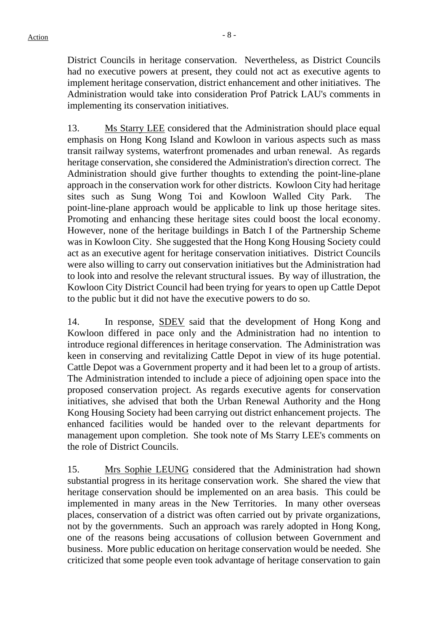District Councils in heritage conservation. Nevertheless, as District Councils had no executive powers at present, they could not act as executive agents to implement heritage conservation, district enhancement and other initiatives. The Administration would take into consideration Prof Patrick LAU's comments in implementing its conservation initiatives.

13. Ms Starry LEE considered that the Administration should place equal emphasis on Hong Kong Island and Kowloon in various aspects such as mass transit railway systems, waterfront promenades and urban renewal. As regards heritage conservation, she considered the Administration's direction correct. The Administration should give further thoughts to extending the point-line-plane approach in the conservation work for other districts. Kowloon City had heritage sites such as Sung Wong Toi and Kowloon Walled City Park. point-line-plane approach would be applicable to link up those heritage sites. Promoting and enhancing these heritage sites could boost the local economy. However, none of the heritage buildings in Batch I of the Partnership Scheme was in Kowloon City. She suggested that the Hong Kong Housing Society could act as an executive agent for heritage conservation initiatives. District Councils were also willing to carry out conservation initiatives but the Administration had to look into and resolve the relevant structural issues. By way of illustration, the Kowloon City District Council had been trying for years to open up Cattle Depot to the public but it did not have the executive powers to do so.

14. In response, SDEV said that the development of Hong Kong and Kowloon differed in pace only and the Administration had no intention to introduce regional differences in heritage conservation. The Administration was keen in conserving and revitalizing Cattle Depot in view of its huge potential. Cattle Depot was a Government property and it had been let to a group of artists. The Administration intended to include a piece of adjoining open space into the proposed conservation project. As regards executive agents for conservation initiatives, she advised that both the Urban Renewal Authority and the Hong Kong Housing Society had been carrying out district enhancement projects. The enhanced facilities would be handed over to the relevant departments for management upon completion. She took note of Ms Starry LEE's comments on the role of District Councils.

15. Mrs Sophie LEUNG considered that the Administration had shown substantial progress in its heritage conservation work. She shared the view that heritage conservation should be implemented on an area basis. This could be implemented in many areas in the New Territories. In many other overseas places, conservation of a district was often carried out by private organizations, not by the governments. Such an approach was rarely adopted in Hong Kong, one of the reasons being accusations of collusion between Government and business. More public education on heritage conservation would be needed. She criticized that some people even took advantage of heritage conservation to gain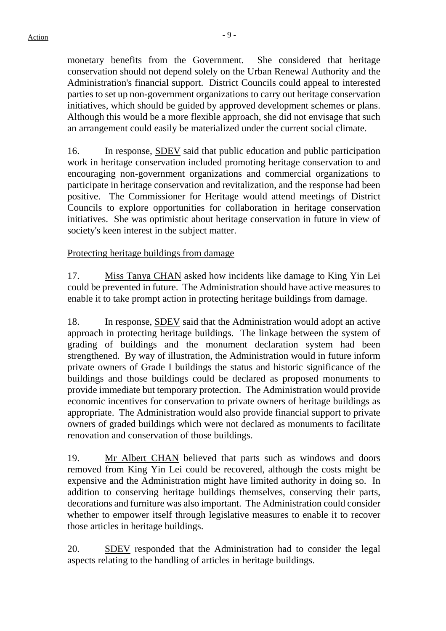monetary benefits from the Government. She considered that heritage conservation should not depend solely on the Urban Renewal Authority and the Administration's financial support. District Councils could appeal to interested parties to set up non-government organizations to carry out heritage conservation initiatives, which should be guided by approved development schemes or plans. Although this would be a more flexible approach, she did not envisage that such an arrangement could easily be materialized under the current social climate.

16. In response, SDEV said that public education and public participation work in heritage conservation included promoting heritage conservation to and encouraging non-government organizations and commercial organizations to participate in heritage conservation and revitalization, and the response had been positive. The Commissioner for Heritage would attend meetings of District Councils to explore opportunities for collaboration in heritage conservation initiatives. She was optimistic about heritage conservation in future in view of society's keen interest in the subject matter.

# Protecting heritage buildings from damage

17. Miss Tanya CHAN asked how incidents like damage to King Yin Lei could be prevented in future. The Administration should have active measures to enable it to take prompt action in protecting heritage buildings from damage.

18. In response, SDEV said that the Administration would adopt an active approach in protecting heritage buildings. The linkage between the system of grading of buildings and the monument declaration system had been strengthened. By way of illustration, the Administration would in future inform private owners of Grade I buildings the status and historic significance of the buildings and those buildings could be declared as proposed monuments to provide immediate but temporary protection. The Administration would provide economic incentives for conservation to private owners of heritage buildings as appropriate. The Administration would also provide financial support to private owners of graded buildings which were not declared as monuments to facilitate renovation and conservation of those buildings.

19. Mr Albert CHAN believed that parts such as windows and doors removed from King Yin Lei could be recovered, although the costs might be expensive and the Administration might have limited authority in doing so. In addition to conserving heritage buildings themselves, conserving their parts, decorations and furniture was also important. The Administration could consider whether to empower itself through legislative measures to enable it to recover those articles in heritage buildings.

20. SDEV responded that the Administration had to consider the legal aspects relating to the handling of articles in heritage buildings.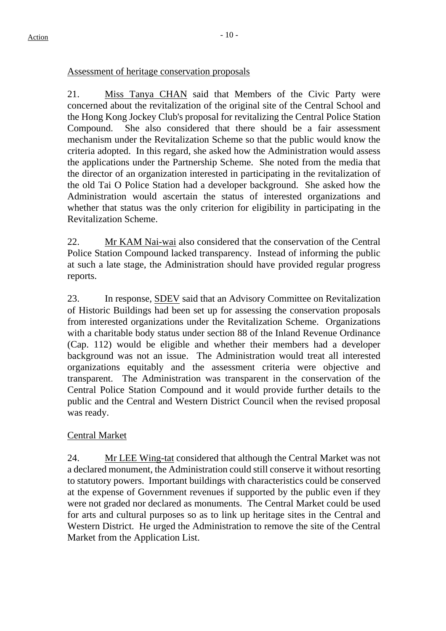#### Assessment of heritage conservation proposals

21. Miss Tanya CHAN said that Members of the Civic Party were concerned about the revitalization of the original site of the Central School and the Hong Kong Jockey Club's proposal for revitalizing the Central Police Station Compound. She also considered that there should be a fair assessment mechanism under the Revitalization Scheme so that the public would know the criteria adopted. In this regard, she asked how the Administration would assess the applications under the Partnership Scheme. She noted from the media that the director of an organization interested in participating in the revitalization of the old Tai O Police Station had a developer background. She asked how the Administration would ascertain the status of interested organizations and whether that status was the only criterion for eligibility in participating in the Revitalization Scheme.

22. Mr KAM Nai-wai also considered that the conservation of the Central Police Station Compound lacked transparency. Instead of informing the public at such a late stage, the Administration should have provided regular progress reports.

23. In response, SDEV said that an Advisory Committee on Revitalization of Historic Buildings had been set up for assessing the conservation proposals from interested organizations under the Revitalization Scheme. Organizations with a charitable body status under section 88 of the Inland Revenue Ordinance (Cap. 112) would be eligible and whether their members had a developer background was not an issue. The Administration would treat all interested organizations equitably and the assessment criteria were objective and transparent. The Administration was transparent in the conservation of the Central Police Station Compound and it would provide further details to the public and the Central and Western District Council when the revised proposal was ready.

# Central Market

24. Mr LEE Wing-tat considered that although the Central Market was not a declared monument, the Administration could still conserve it without resorting to statutory powers. Important buildings with characteristics could be conserved at the expense of Government revenues if supported by the public even if they were not graded nor declared as monuments. The Central Market could be used for arts and cultural purposes so as to link up heritage sites in the Central and Western District. He urged the Administration to remove the site of the Central Market from the Application List.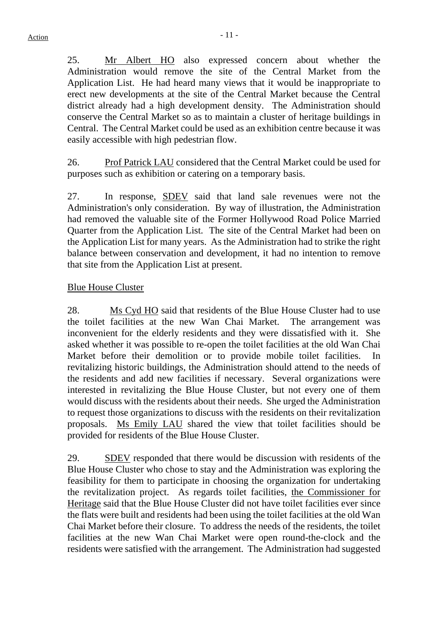25. Mr Albert HO also expressed concern about whether the Administration would remove the site of the Central Market from the Application List. He had heard many views that it would be inappropriate to erect new developments at the site of the Central Market because the Central district already had a high development density. The Administration should conserve the Central Market so as to maintain a cluster of heritage buildings in Central. The Central Market could be used as an exhibition centre because it was easily accessible with high pedestrian flow.

26. Prof Patrick LAU considered that the Central Market could be used for purposes such as exhibition or catering on a temporary basis.

27. In response, SDEV said that land sale revenues were not the Administration's only consideration. By way of illustration, the Administration had removed the valuable site of the Former Hollywood Road Police Married Quarter from the Application List. The site of the Central Market had been on the Application List for many years. As the Administration had to strike the right balance between conservation and development, it had no intention to remove that site from the Application List at present.

# Blue House Cluster

28. Ms Cyd HO said that residents of the Blue House Cluster had to use the toilet facilities at the new Wan Chai Market. The arrangement was inconvenient for the elderly residents and they were dissatisfied with it. She asked whether it was possible to re-open the toilet facilities at the old Wan Chai Market before their demolition or to provide mobile toilet facilities. In revitalizing historic buildings, the Administration should attend to the needs of the residents and add new facilities if necessary. Several organizations were interested in revitalizing the Blue House Cluster, but not every one of them would discuss with the residents about their needs. She urged the Administration to request those organizations to discuss with the residents on their revitalization proposals. Ms Emily LAU shared the view that toilet facilities should be provided for residents of the Blue House Cluster.

29. SDEV responded that there would be discussion with residents of the Blue House Cluster who chose to stay and the Administration was exploring the feasibility for them to participate in choosing the organization for undertaking the revitalization project. As regards toilet facilities, the Commissioner for Heritage said that the Blue House Cluster did not have toilet facilities ever since the flats were built and residents had been using the toilet facilities at the old Wan Chai Market before their closure. To address the needs of the residents, the toilet facilities at the new Wan Chai Market were open round-the-clock and the residents were satisfied with the arrangement. The Administration had suggested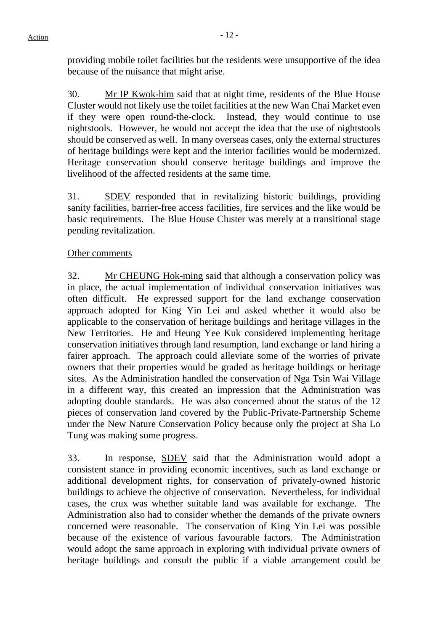providing mobile toilet facilities but the residents were unsupportive of the idea because of the nuisance that might arise.

30. Mr IP Kwok-him said that at night time, residents of the Blue House Cluster would not likely use the toilet facilities at the new Wan Chai Market even if they were open round-the-clock. Instead, they would continue to use nightstools. However, he would not accept the idea that the use of nightstools should be conserved as well. In many overseas cases, only the external structures of heritage buildings were kept and the interior facilities would be modernized. Heritage conservation should conserve heritage buildings and improve the livelihood of the affected residents at the same time.

31. SDEV responded that in revitalizing historic buildings, providing sanity facilities, barrier-free access facilities, fire services and the like would be basic requirements. The Blue House Cluster was merely at a transitional stage pending revitalization.

#### Other comments

32. Mr CHEUNG Hok-ming said that although a conservation policy was in place, the actual implementation of individual conservation initiatives was often difficult. He expressed support for the land exchange conservation approach adopted for King Yin Lei and asked whether it would also be applicable to the conservation of heritage buildings and heritage villages in the New Territories. He and Heung Yee Kuk considered implementing heritage conservation initiatives through land resumption, land exchange or land hiring a fairer approach. The approach could alleviate some of the worries of private owners that their properties would be graded as heritage buildings or heritage sites. As the Administration handled the conservation of Nga Tsin Wai Village in a different way, this created an impression that the Administration was adopting double standards. He was also concerned about the status of the 12 pieces of conservation land covered by the Public-Private-Partnership Scheme under the New Nature Conservation Policy because only the project at Sha Lo Tung was making some progress.

33. In response, SDEV said that the Administration would adopt a consistent stance in providing economic incentives, such as land exchange or additional development rights, for conservation of privately-owned historic buildings to achieve the objective of conservation. Nevertheless, for individual cases, the crux was whether suitable land was available for exchange. The Administration also had to consider whether the demands of the private owners concerned were reasonable. The conservation of King Yin Lei was possible because of the existence of various favourable factors. The Administration would adopt the same approach in exploring with individual private owners of heritage buildings and consult the public if a viable arrangement could be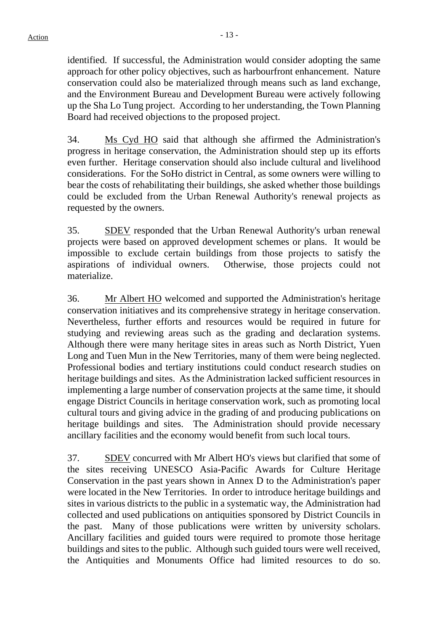identified. If successful, the Administration would consider adopting the same approach for other policy objectives, such as harbourfront enhancement. Nature conservation could also be materialized through means such as land exchange, and the Environment Bureau and Development Bureau were actively following up the Sha Lo Tung project. According to her understanding, the Town Planning Board had received objections to the proposed project.

34. Ms Cyd HO said that although she affirmed the Administration's progress in heritage conservation, the Administration should step up its efforts even further. Heritage conservation should also include cultural and livelihood considerations. For the SoHo district in Central, as some owners were willing to bear the costs of rehabilitating their buildings, she asked whether those buildings could be excluded from the Urban Renewal Authority's renewal projects as requested by the owners.

35. SDEV responded that the Urban Renewal Authority's urban renewal projects were based on approved development schemes or plans. It would be impossible to exclude certain buildings from those projects to satisfy the aspirations of individual owners. Otherwise, those projects could not materialize.

36. Mr Albert HO welcomed and supported the Administration's heritage conservation initiatives and its comprehensive strategy in heritage conservation. Nevertheless, further efforts and resources would be required in future for studying and reviewing areas such as the grading and declaration systems. Although there were many heritage sites in areas such as North District, Yuen Long and Tuen Mun in the New Territories, many of them were being neglected. Professional bodies and tertiary institutions could conduct research studies on heritage buildings and sites. As the Administration lacked sufficient resources in implementing a large number of conservation projects at the same time, it should engage District Councils in heritage conservation work, such as promoting local cultural tours and giving advice in the grading of and producing publications on heritage buildings and sites. The Administration should provide necessary ancillary facilities and the economy would benefit from such local tours.

37. SDEV concurred with Mr Albert HO's views but clarified that some of the sites receiving UNESCO Asia-Pacific Awards for Culture Heritage Conservation in the past years shown in Annex D to the Administration's paper were located in the New Territories. In order to introduce heritage buildings and sites in various districts to the public in a systematic way, the Administration had collected and used publications on antiquities sponsored by District Councils in the past. Many of those publications were written by university scholars. Ancillary facilities and guided tours were required to promote those heritage buildings and sites to the public. Although such guided tours were well received, the Antiquities and Monuments Office had limited resources to do so.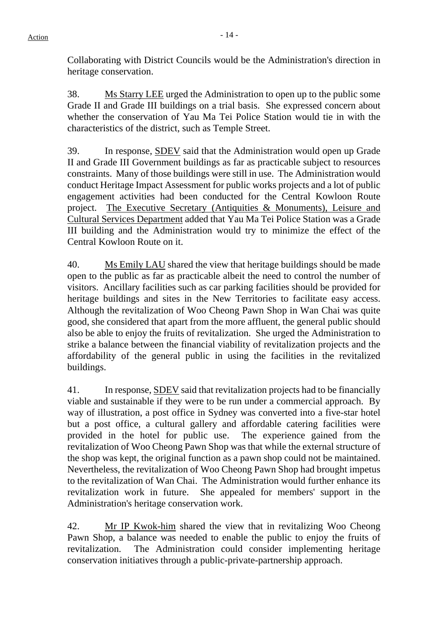Collaborating with District Councils would be the Administration's direction in heritage conservation.

38. Ms Starry LEE urged the Administration to open up to the public some Grade II and Grade III buildings on a trial basis. She expressed concern about whether the conservation of Yau Ma Tei Police Station would tie in with the characteristics of the district, such as Temple Street.

39. In response, SDEV said that the Administration would open up Grade II and Grade III Government buildings as far as practicable subject to resources constraints. Many of those buildings were still in use. The Administration would conduct Heritage Impact Assessment for public works projects and a lot of public engagement activities had been conducted for the Central Kowloon Route project. The Executive Secretary (Antiquities & Monuments), Leisure and Cultural Services Department added that Yau Ma Tei Police Station was a Grade III building and the Administration would try to minimize the effect of the Central Kowloon Route on it.

40. Ms Emily LAU shared the view that heritage buildings should be made open to the public as far as practicable albeit the need to control the number of visitors. Ancillary facilities such as car parking facilities should be provided for heritage buildings and sites in the New Territories to facilitate easy access. Although the revitalization of Woo Cheong Pawn Shop in Wan Chai was quite good, she considered that apart from the more affluent, the general public should also be able to enjoy the fruits of revitalization. She urged the Administration to strike a balance between the financial viability of revitalization projects and the affordability of the general public in using the facilities in the revitalized buildings.

41. In response, SDEV said that revitalization projects had to be financially viable and sustainable if they were to be run under a commercial approach. By way of illustration, a post office in Sydney was converted into a five-star hotel but a post office, a cultural gallery and affordable catering facilities were provided in the hotel for public use. The experience gained from the revitalization of Woo Cheong Pawn Shop was that while the external structure of the shop was kept, the original function as a pawn shop could not be maintained. Nevertheless, the revitalization of Woo Cheong Pawn Shop had brought impetus to the revitalization of Wan Chai. The Administration would further enhance its revitalization work in future. She appealed for members' support in the Administration's heritage conservation work.

42. Mr IP Kwok-him shared the view that in revitalizing Woo Cheong Pawn Shop, a balance was needed to enable the public to enjoy the fruits of revitalization. The Administration could consider implementing heritage conservation initiatives through a public-private-partnership approach.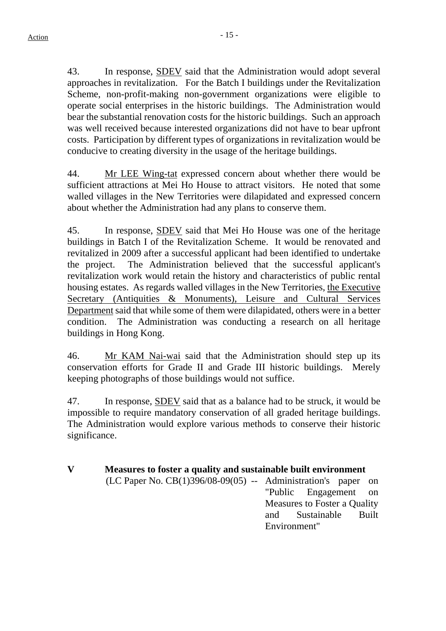43. In response, **SDEV** said that the Administration would adopt several approaches in revitalization. For the Batch I buildings under the Revitalization Scheme, non-profit-making non-government organizations were eligible to operate social enterprises in the historic buildings. The Administration would bear the substantial renovation costs for the historic buildings. Such an approach was well received because interested organizations did not have to bear upfront costs. Participation by different types of organizations in revitalization would be conducive to creating diversity in the usage of the heritage buildings.

44. Mr LEE Wing-tat expressed concern about whether there would be sufficient attractions at Mei Ho House to attract visitors. He noted that some walled villages in the New Territories were dilapidated and expressed concern about whether the Administration had any plans to conserve them.

45. In response, SDEV said that Mei Ho House was one of the heritage buildings in Batch I of the Revitalization Scheme. It would be renovated and revitalized in 2009 after a successful applicant had been identified to undertake the project. The Administration believed that the successful applicant's revitalization work would retain the history and characteristics of public rental housing estates. As regards walled villages in the New Territories, the Executive Secretary (Antiquities & Monuments), Leisure and Cultural Services Department said that while some of them were dilapidated, others were in a better condition. The Administration was conducting a research on all heritage buildings in Hong Kong.

46. Mr KAM Nai-wai said that the Administration should step up its conservation efforts for Grade II and Grade III historic buildings. Merely keeping photographs of those buildings would not suffice.

47. In response, SDEV said that as a balance had to be struck, it would be impossible to require mandatory conservation of all graded heritage buildings. The Administration would explore various methods to conserve their historic significance.

# **V Measures to foster a quality and sustainable built environment**

(LC Paper No. CB(1)396/08-09(05) -- Administration's paper on "Public Engagement on

Measures to Foster a Quality and Sustainable Built Environment"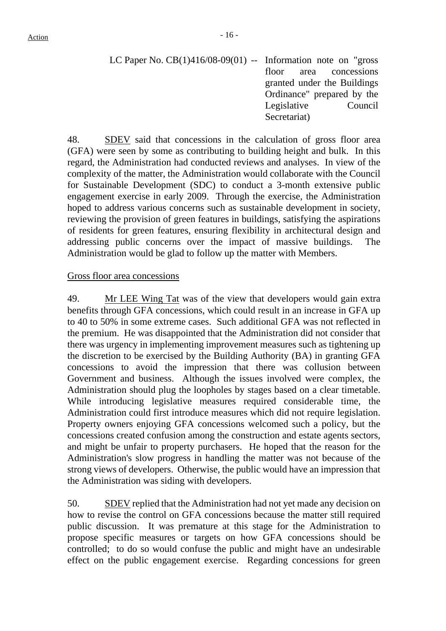LC Paper No.  $CB(1)416/08-09(01)$  -- Information note on "gross" floor area concessions granted under the Buildings Ordinance" prepared by the Legislative Council Secretariat)

48. SDEV said that concessions in the calculation of gross floor area (GFA) were seen by some as contributing to building height and bulk. In this regard, the Administration had conducted reviews and analyses. In view of the complexity of the matter, the Administration would collaborate with the Council for Sustainable Development (SDC) to conduct a 3-month extensive public engagement exercise in early 2009. Through the exercise, the Administration hoped to address various concerns such as sustainable development in society, reviewing the provision of green features in buildings, satisfying the aspirations of residents for green features, ensuring flexibility in architectural design and addressing public concerns over the impact of massive buildings. The Administration would be glad to follow up the matter with Members.

#### Gross floor area concessions

49. Mr LEE Wing Tat was of the view that developers would gain extra benefits through GFA concessions, which could result in an increase in GFA up to 40 to 50% in some extreme cases. Such additional GFA was not reflected in the premium. He was disappointed that the Administration did not consider that there was urgency in implementing improvement measures such as tightening up the discretion to be exercised by the Building Authority (BA) in granting GFA concessions to avoid the impression that there was collusion between Government and business. Although the issues involved were complex, the Administration should plug the loopholes by stages based on a clear timetable. While introducing legislative measures required considerable time, the Administration could first introduce measures which did not require legislation. Property owners enjoying GFA concessions welcomed such a policy, but the concessions created confusion among the construction and estate agents sectors, and might be unfair to property purchasers. He hoped that the reason for the Administration's slow progress in handling the matter was not because of the strong views of developers. Otherwise, the public would have an impression that the Administration was siding with developers.

50. SDEV replied that the Administration had not yet made any decision on how to revise the control on GFA concessions because the matter still required public discussion. It was premature at this stage for the Administration to propose specific measures or targets on how GFA concessions should be controlled; to do so would confuse the public and might have an undesirable effect on the public engagement exercise. Regarding concessions for green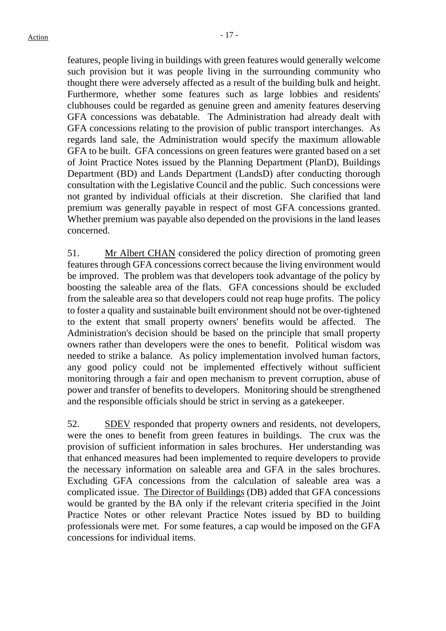features, people living in buildings with green features would generally welcome such provision but it was people living in the surrounding community who thought there were adversely affected as a result of the building bulk and height. Furthermore, whether some features such as large lobbies and residents' clubhouses could be regarded as genuine green and amenity features deserving GFA concessions was debatable. The Administration had already dealt with GFA concessions relating to the provision of public transport interchanges. As regards land sale, the Administration would specify the maximum allowable GFA to be built. GFA concessions on green features were granted based on a set of Joint Practice Notes issued by the Planning Department (PlanD), Buildings Department (BD) and Lands Department (LandsD) after conducting thorough consultation with the Legislative Council and the public. Such concessions were not granted by individual officials at their discretion. She clarified that land premium was generally payable in respect of most GFA concessions granted. Whether premium was payable also depended on the provisions in the land leases concerned.

51. Mr Albert CHAN considered the policy direction of promoting green features through GFA concessions correct because the living environment would be improved. The problem was that developers took advantage of the policy by boosting the saleable area of the flats. GFA concessions should be excluded from the saleable area so that developers could not reap huge profits. The policy to foster a quality and sustainable built environment should not be over-tightened to the extent that small property owners' benefits would be affected. The Administration's decision should be based on the principle that small property owners rather than developers were the ones to benefit. Political wisdom was needed to strike a balance. As policy implementation involved human factors, any good policy could not be implemented effectively without sufficient monitoring through a fair and open mechanism to prevent corruption, abuse of power and transfer of benefits to developers. Monitoring should be strengthened and the responsible officials should be strict in serving as a gatekeeper.

52. SDEV responded that property owners and residents, not developers, were the ones to benefit from green features in buildings. The crux was the provision of sufficient information in sales brochures. Her understanding was that enhanced measures had been implemented to require developers to provide the necessary information on saleable area and GFA in the sales brochures. Excluding GFA concessions from the calculation of saleable area was a complicated issue. The Director of Buildings (DB) added that GFA concessions would be granted by the BA only if the relevant criteria specified in the Joint Practice Notes or other relevant Practice Notes issued by BD to building professionals were met. For some features, a cap would be imposed on the GFA concessions for individual items.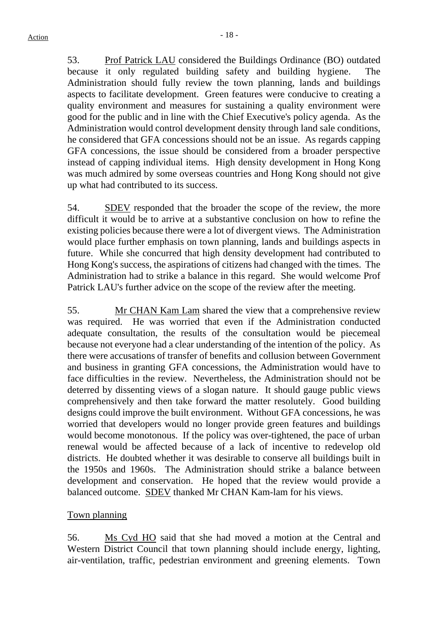53. Prof Patrick LAU considered the Buildings Ordinance (BO) outdated because it only regulated building safety and building hygiene. The Administration should fully review the town planning, lands and buildings aspects to facilitate development. Green features were conducive to creating a quality environment and measures for sustaining a quality environment were good for the public and in line with the Chief Executive's policy agenda. As the Administration would control development density through land sale conditions, he considered that GFA concessions should not be an issue. As regards capping GFA concessions, the issue should be considered from a broader perspective instead of capping individual items. High density development in Hong Kong was much admired by some overseas countries and Hong Kong should not give up what had contributed to its success.

54. SDEV responded that the broader the scope of the review, the more difficult it would be to arrive at a substantive conclusion on how to refine the existing policies because there were a lot of divergent views. The Administration would place further emphasis on town planning, lands and buildings aspects in future. While she concurred that high density development had contributed to Hong Kong's success, the aspirations of citizens had changed with the times. The Administration had to strike a balance in this regard. She would welcome Prof Patrick LAU's further advice on the scope of the review after the meeting.

55. Mr CHAN Kam Lam shared the view that a comprehensive review was required. He was worried that even if the Administration conducted adequate consultation, the results of the consultation would be piecemeal because not everyone had a clear understanding of the intention of the policy. As there were accusations of transfer of benefits and collusion between Government and business in granting GFA concessions, the Administration would have to face difficulties in the review. Nevertheless, the Administration should not be deterred by dissenting views of a slogan nature. It should gauge public views comprehensively and then take forward the matter resolutely. Good building designs could improve the built environment. Without GFA concessions, he was worried that developers would no longer provide green features and buildings would become monotonous. If the policy was over-tightened, the pace of urban renewal would be affected because of a lack of incentive to redevelop old districts. He doubted whether it was desirable to conserve all buildings built in the 1950s and 1960s. The Administration should strike a balance between development and conservation. He hoped that the review would provide a balanced outcome. SDEV thanked Mr CHAN Kam-lam for his views.

# Town planning

56. Ms Cyd HO said that she had moved a motion at the Central and Western District Council that town planning should include energy, lighting, air-ventilation, traffic, pedestrian environment and greening elements. Town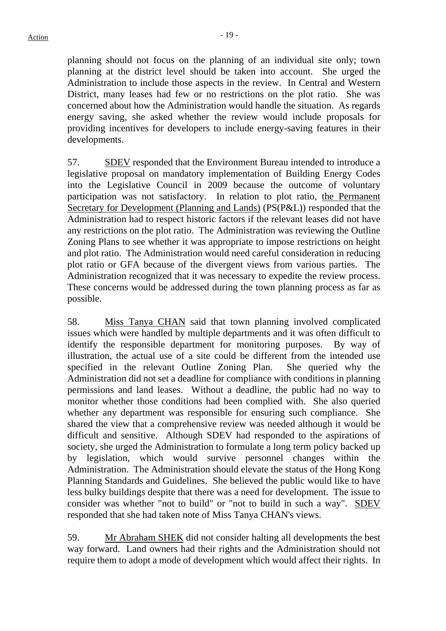planning should not focus on the planning of an individual site only; town planning at the district level should be taken into account. She urged the Administration to include those aspects in the review. In Central and Western District, many leases had few or no restrictions on the plot ratio. She was concerned about how the Administration would handle the situation. As regards energy saving, she asked whether the review would include proposals for providing incentives for developers to include energy-saving features in their developments.

57. SDEV responded that the Environment Bureau intended to introduce a legislative proposal on mandatory implementation of Building Energy Codes into the Legislative Council in 2009 because the outcome of voluntary participation was not satisfactory. In relation to plot ratio, the Permanent Secretary for Development (Planning and Lands) (PS(P&L)) responded that the Administration had to respect historic factors if the relevant leases did not have any restrictions on the plot ratio. The Administration was reviewing the Outline Zoning Plans to see whether it was appropriate to impose restrictions on height and plot ratio. The Administration would need careful consideration in reducing plot ratio or GFA because of the divergent views from various parties. The Administration recognized that it was necessary to expedite the review process. These concerns would be addressed during the town planning process as far as possible.

58. Miss Tanya CHAN said that town planning involved complicated issues which were handled by multiple departments and it was often difficult to identify the responsible department for monitoring purposes. By way of illustration, the actual use of a site could be different from the intended use specified in the relevant Outline Zoning Plan. She queried why the Administration did not set a deadline for compliance with conditions in planning permissions and land leases. Without a deadline, the public had no way to monitor whether those conditions had been complied with. She also queried whether any department was responsible for ensuring such compliance. She shared the view that a comprehensive review was needed although it would be difficult and sensitive. Although SDEV had responded to the aspirations of society, she urged the Administration to formulate a long term policy backed up by legislation, which would survive personnel changes within the Administration. The Administration should elevate the status of the Hong Kong Planning Standards and Guidelines. She believed the public would like to have less bulky buildings despite that there was a need for development. The issue to consider was whether "not to build" or "not to build in such a way". SDEV responded that she had taken note of Miss Tanya CHAN's views.

59. Mr Abraham SHEK did not consider halting all developments the best way forward. Land owners had their rights and the Administration should not require them to adopt a mode of development which would affect their rights. In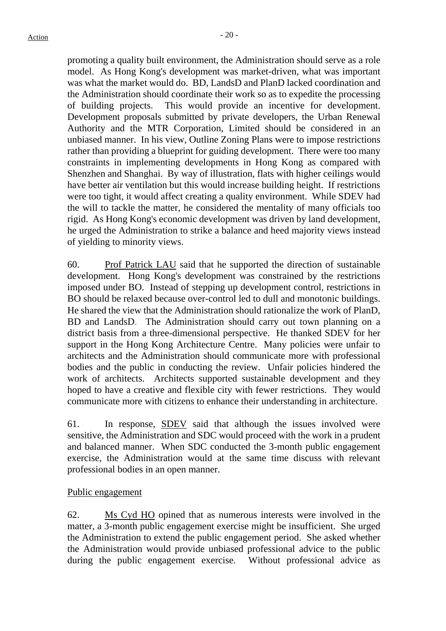promoting a quality built environment, the Administration should serve as a role model. As Hong Kong's development was market-driven, what was important was what the market would do. BD, LandsD and PlanD lacked coordination and the Administration should coordinate their work so as to expedite the processing of building projects. This would provide an incentive for development. Development proposals submitted by private developers, the Urban Renewal Authority and the MTR Corporation, Limited should be considered in an unbiased manner. In his view, Outline Zoning Plans were to impose restrictions rather than providing a blueprint for guiding development. There were too many constraints in implementing developments in Hong Kong as compared with Shenzhen and Shanghai. By way of illustration, flats with higher ceilings would have better air ventilation but this would increase building height. If restrictions were too tight, it would affect creating a quality environment. While SDEV had the will to tackle the matter, he considered the mentality of many officials too rigid. As Hong Kong's economic development was driven by land development, he urged the Administration to strike a balance and heed majority views instead of yielding to minority views.

60. Prof Patrick LAU said that he supported the direction of sustainable development. Hong Kong's development was constrained by the restrictions imposed under BO. Instead of stepping up development control, restrictions in BO should be relaxed because over-control led to dull and monotonic buildings. He shared the view that the Administration should rationalize the work of PlanD, BD and LandsD. The Administration should carry out town planning on a district basis from a three-dimensional perspective. He thanked SDEV for her support in the Hong Kong Architecture Centre. Many policies were unfair to architects and the Administration should communicate more with professional bodies and the public in conducting the review. Unfair policies hindered the work of architects. Architects supported sustainable development and they hoped to have a creative and flexible city with fewer restrictions. They would communicate more with citizens to enhance their understanding in architecture.

61. In response, SDEV said that although the issues involved were sensitive, the Administration and SDC would proceed with the work in a prudent and balanced manner. When SDC conducted the 3-month public engagement exercise, the Administration would at the same time discuss with relevant professional bodies in an open manner.

# Public engagement

62. Ms Cyd HO opined that as numerous interests were involved in the matter, a 3-month public engagement exercise might be insufficient. She urged the Administration to extend the public engagement period. She asked whether the Administration would provide unbiased professional advice to the public during the public engagement exercise. Without professional advice as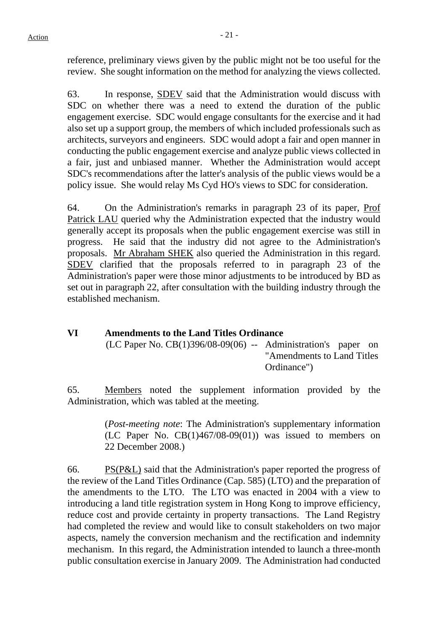reference, preliminary views given by the public might not be too useful for the review. She sought information on the method for analyzing the views collected.

63. In response, SDEV said that the Administration would discuss with SDC on whether there was a need to extend the duration of the public engagement exercise. SDC would engage consultants for the exercise and it had also set up a support group, the members of which included professionals such as architects, surveyors and engineers. SDC would adopt a fair and open manner in conducting the public engagement exercise and analyze public views collected in a fair, just and unbiased manner. Whether the Administration would accept SDC's recommendations after the latter's analysis of the public views would be a policy issue. She would relay Ms Cyd HO's views to SDC for consideration.

64. On the Administration's remarks in paragraph 23 of its paper, Prof Patrick LAU queried why the Administration expected that the industry would generally accept its proposals when the public engagement exercise was still in progress. He said that the industry did not agree to the Administration's proposals. Mr Abraham SHEK also queried the Administration in this regard. SDEV clarified that the proposals referred to in paragraph 23 of the Administration's paper were those minor adjustments to be introduced by BD as set out in paragraph 22, after consultation with the building industry through the established mechanism.

# **VI Amendments to the Land Titles Ordinance**  (LC Paper No. CB(1)396/08-09(06) -- Administration's paper on "Amendments to Land Titles Ordinance")

65. Members noted the supplement information provided by the Administration, which was tabled at the meeting.

> (*Post-meeting note*: The Administration's supplementary information (LC Paper No. CB(1)467/08-09(01)) was issued to members on 22 December 2008.)

66. PS $(P&L)$  said that the Administration's paper reported the progress of the review of the Land Titles Ordinance (Cap. 585) (LTO) and the preparation of the amendments to the LTO. The LTO was enacted in 2004 with a view to introducing a land title registration system in Hong Kong to improve efficiency, reduce cost and provide certainty in property transactions. The Land Registry had completed the review and would like to consult stakeholders on two major aspects, namely the conversion mechanism and the rectification and indemnity mechanism. In this regard, the Administration intended to launch a three-month public consultation exercise in January 2009. The Administration had conducted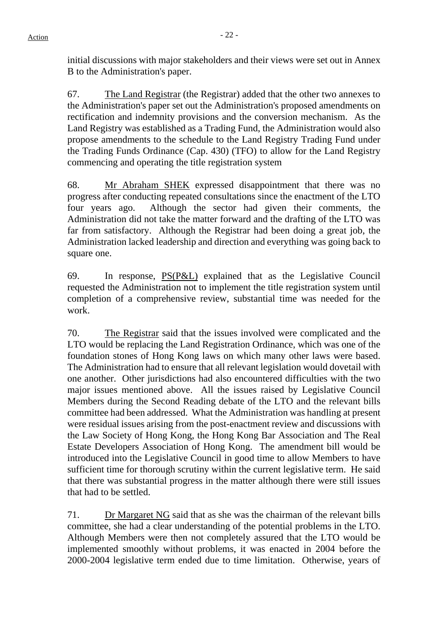initial discussions with major stakeholders and their views were set out in Annex B to the Administration's paper.

67. The Land Registrar (the Registrar) added that the other two annexes to the Administration's paper set out the Administration's proposed amendments on rectification and indemnity provisions and the conversion mechanism. As the Land Registry was established as a Trading Fund, the Administration would also propose amendments to the schedule to the Land Registry Trading Fund under the Trading Funds Ordinance (Cap. 430) (TFO) to allow for the Land Registry commencing and operating the title registration system

68. Mr Abraham SHEK expressed disappointment that there was no progress after conducting repeated consultations since the enactment of the LTO four years ago. Although the sector had given their comments, the Administration did not take the matter forward and the drafting of the LTO was far from satisfactory. Although the Registrar had been doing a great job, the Administration lacked leadership and direction and everything was going back to square one.

69. In response, PS(P&L) explained that as the Legislative Council requested the Administration not to implement the title registration system until completion of a comprehensive review, substantial time was needed for the work.

70. The Registrar said that the issues involved were complicated and the LTO would be replacing the Land Registration Ordinance, which was one of the foundation stones of Hong Kong laws on which many other laws were based. The Administration had to ensure that all relevant legislation would dovetail with one another. Other jurisdictions had also encountered difficulties with the two major issues mentioned above. All the issues raised by Legislative Council Members during the Second Reading debate of the LTO and the relevant bills committee had been addressed. What the Administration was handling at present were residual issues arising from the post-enactment review and discussions with the Law Society of Hong Kong, the Hong Kong Bar Association and The Real Estate Developers Association of Hong Kong. The amendment bill would be introduced into the Legislative Council in good time to allow Members to have sufficient time for thorough scrutiny within the current legislative term. He said that there was substantial progress in the matter although there were still issues that had to be settled.

71. Dr Margaret NG said that as she was the chairman of the relevant bills committee, she had a clear understanding of the potential problems in the LTO. Although Members were then not completely assured that the LTO would be implemented smoothly without problems, it was enacted in 2004 before the 2000-2004 legislative term ended due to time limitation. Otherwise, years of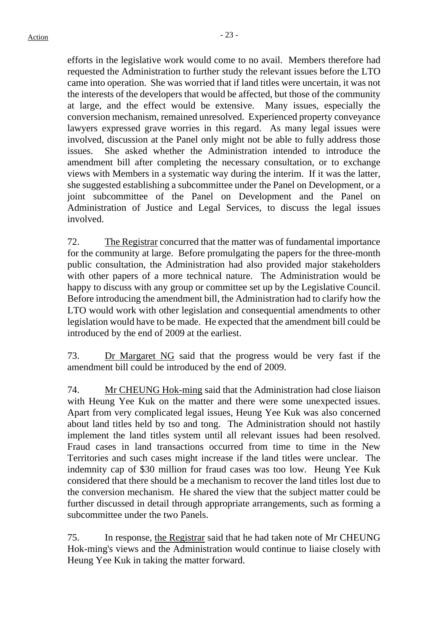efforts in the legislative work would come to no avail. Members therefore had requested the Administration to further study the relevant issues before the LTO came into operation. She was worried that if land titles were uncertain, it was not the interests of the developers that would be affected, but those of the community at large, and the effect would be extensive. Many issues, especially the conversion mechanism, remained unresolved. Experienced property conveyance lawyers expressed grave worries in this regard. As many legal issues were involved, discussion at the Panel only might not be able to fully address those issues. She asked whether the Administration intended to introduce the amendment bill after completing the necessary consultation, or to exchange views with Members in a systematic way during the interim. If it was the latter, she suggested establishing a subcommittee under the Panel on Development, or a joint subcommittee of the Panel on Development and the Panel on Administration of Justice and Legal Services, to discuss the legal issues involved.

72. The Registrar concurred that the matter was of fundamental importance for the community at large. Before promulgating the papers for the three-month public consultation, the Administration had also provided major stakeholders with other papers of a more technical nature. The Administration would be happy to discuss with any group or committee set up by the Legislative Council. Before introducing the amendment bill, the Administration had to clarify how the LTO would work with other legislation and consequential amendments to other legislation would have to be made. He expected that the amendment bill could be introduced by the end of 2009 at the earliest.

73. Dr Margaret NG said that the progress would be very fast if the amendment bill could be introduced by the end of 2009.

74. Mr CHEUNG Hok-ming said that the Administration had close liaison with Heung Yee Kuk on the matter and there were some unexpected issues. Apart from very complicated legal issues, Heung Yee Kuk was also concerned about land titles held by tso and tong. The Administration should not hastily implement the land titles system until all relevant issues had been resolved. Fraud cases in land transactions occurred from time to time in the New Territories and such cases might increase if the land titles were unclear. The indemnity cap of \$30 million for fraud cases was too low. Heung Yee Kuk considered that there should be a mechanism to recover the land titles lost due to the conversion mechanism. He shared the view that the subject matter could be further discussed in detail through appropriate arrangements, such as forming a subcommittee under the two Panels.

75. In response, the Registrar said that he had taken note of Mr CHEUNG Hok-ming's views and the Administration would continue to liaise closely with Heung Yee Kuk in taking the matter forward.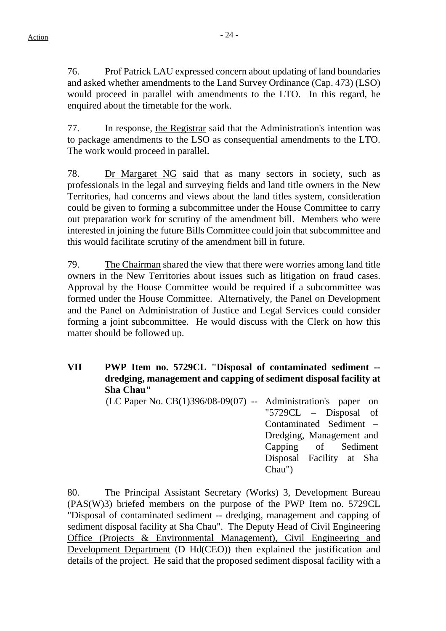76. Prof Patrick LAU expressed concern about updating of land boundaries and asked whether amendments to the Land Survey Ordinance (Cap. 473) (LSO) would proceed in parallel with amendments to the LTO. In this regard, he enquired about the timetable for the work.

77. In response, the Registrar said that the Administration's intention was to package amendments to the LSO as consequential amendments to the LTO. The work would proceed in parallel.

78. Dr Margaret NG said that as many sectors in society, such as professionals in the legal and surveying fields and land title owners in the New Territories, had concerns and views about the land titles system, consideration could be given to forming a subcommittee under the House Committee to carry out preparation work for scrutiny of the amendment bill. Members who were interested in joining the future Bills Committee could join that subcommittee and this would facilitate scrutiny of the amendment bill in future.

79. The Chairman shared the view that there were worries among land title owners in the New Territories about issues such as litigation on fraud cases. Approval by the House Committee would be required if a subcommittee was formed under the House Committee. Alternatively, the Panel on Development and the Panel on Administration of Justice and Legal Services could consider forming a joint subcommittee. He would discuss with the Clerk on how this matter should be followed up.

**VII PWP Item no. 5729CL "Disposal of contaminated sediment - dredging, management and capping of sediment disposal facility at Sha Chau"** 

> (LC Paper No. CB(1)396/08-09(07) -- Administration's paper on "5729CL – Disposal of Contaminated Sediment – Dredging, Management and Capping of Sediment Disposal Facility at Sha Chau")

80. The Principal Assistant Secretary (Works) 3, Development Bureau (PAS(W)3) briefed members on the purpose of the PWP Item no. 5729CL "Disposal of contaminated sediment -- dredging, management and capping of sediment disposal facility at Sha Chau". The Deputy Head of Civil Engineering Office (Projects & Environmental Management), Civil Engineering and Development Department (D Hd(CEO)) then explained the justification and details of the project. He said that the proposed sediment disposal facility with a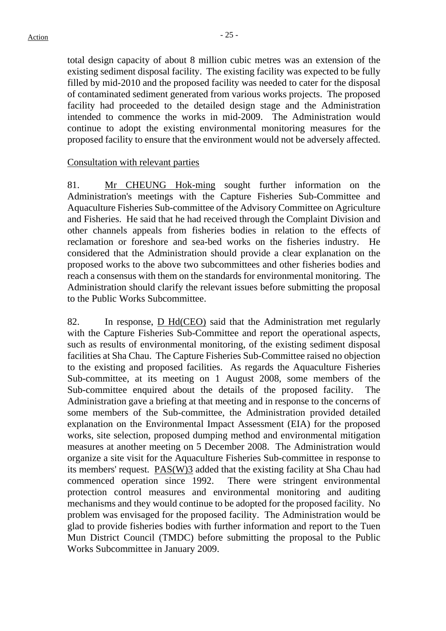total design capacity of about 8 million cubic metres was an extension of the existing sediment disposal facility. The existing facility was expected to be fully filled by mid-2010 and the proposed facility was needed to cater for the disposal of contaminated sediment generated from various works projects. The proposed facility had proceeded to the detailed design stage and the Administration intended to commence the works in mid-2009. The Administration would continue to adopt the existing environmental monitoring measures for the proposed facility to ensure that the environment would not be adversely affected.

#### Consultation with relevant parties

81. Mr CHEUNG Hok-ming sought further information on the Administration's meetings with the Capture Fisheries Sub-Committee and Aquaculture Fisheries Sub-committee of the Advisory Committee on Agriculture and Fisheries. He said that he had received through the Complaint Division and other channels appeals from fisheries bodies in relation to the effects of reclamation or foreshore and sea-bed works on the fisheries industry. He considered that the Administration should provide a clear explanation on the proposed works to the above two subcommittees and other fisheries bodies and reach a consensus with them on the standards for environmental monitoring. The Administration should clarify the relevant issues before submitting the proposal to the Public Works Subcommittee.

82. In response, D Hd(CEO) said that the Administration met regularly with the Capture Fisheries Sub-Committee and report the operational aspects, such as results of environmental monitoring, of the existing sediment disposal facilities at Sha Chau. The Capture Fisheries Sub-Committee raised no objection to the existing and proposed facilities. As regards the Aquaculture Fisheries Sub-committee, at its meeting on 1 August 2008, some members of the Sub-committee enquired about the details of the proposed facility. The Administration gave a briefing at that meeting and in response to the concerns of some members of the Sub-committee, the Administration provided detailed explanation on the Environmental Impact Assessment (EIA) for the proposed works, site selection, proposed dumping method and environmental mitigation measures at another meeting on 5 December 2008. The Administration would organize a site visit for the Aquaculture Fisheries Sub-committee in response to its members' request. PAS(W)3 added that the existing facility at Sha Chau had commenced operation since 1992. There were stringent environmental protection control measures and environmental monitoring and auditing mechanisms and they would continue to be adopted for the proposed facility. No problem was envisaged for the proposed facility. The Administration would be glad to provide fisheries bodies with further information and report to the Tuen Mun District Council (TMDC) before submitting the proposal to the Public Works Subcommittee in January 2009.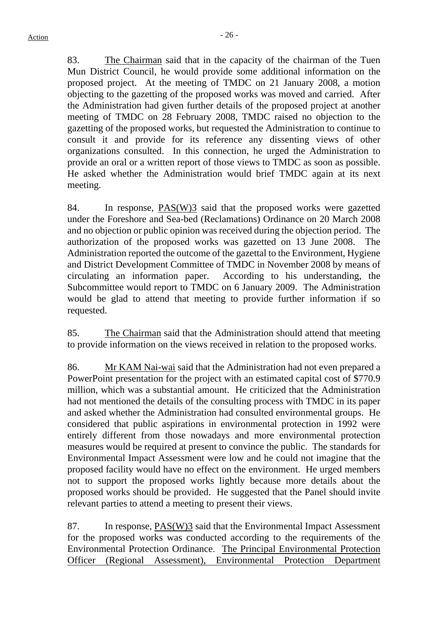83. The Chairman said that in the capacity of the chairman of the Tuen Mun District Council, he would provide some additional information on the proposed project. At the meeting of TMDC on 21 January 2008, a motion objecting to the gazetting of the proposed works was moved and carried. After the Administration had given further details of the proposed project at another meeting of TMDC on 28 February 2008, TMDC raised no objection to the gazetting of the proposed works, but requested the Administration to continue to consult it and provide for its reference any dissenting views of other organizations consulted. In this connection, he urged the Administration to provide an oral or a written report of those views to TMDC as soon as possible. He asked whether the Administration would brief TMDC again at its next meeting.

84. In response, PAS(W)3 said that the proposed works were gazetted under the Foreshore and Sea-bed (Reclamations) Ordinance on 20 March 2008 and no objection or public opinion was received during the objection period. The authorization of the proposed works was gazetted on 13 June 2008. The Administration reported the outcome of the gazettal to the Environment, Hygiene and District Development Committee of TMDC in November 2008 by means of circulating an information paper. According to his understanding, the Subcommittee would report to TMDC on 6 January 2009. The Administration would be glad to attend that meeting to provide further information if so requested.

85. The Chairman said that the Administration should attend that meeting to provide information on the views received in relation to the proposed works.

86. Mr KAM Nai-wai said that the Administration had not even prepared a PowerPoint presentation for the project with an estimated capital cost of \$770.9 million, which was a substantial amount. He criticized that the Administration had not mentioned the details of the consulting process with TMDC in its paper and asked whether the Administration had consulted environmental groups. He considered that public aspirations in environmental protection in 1992 were entirely different from those nowadays and more environmental protection measures would be required at present to convince the public. The standards for Environmental Impact Assessment were low and he could not imagine that the proposed facility would have no effect on the environment. He urged members not to support the proposed works lightly because more details about the proposed works should be provided. He suggested that the Panel should invite relevant parties to attend a meeting to present their views.

87. In response, PAS(W)3 said that the Environmental Impact Assessment for the proposed works was conducted according to the requirements of the Environmental Protection Ordinance. The Principal Environmental Protection Officer (Regional Assessment), Environmental Protection Department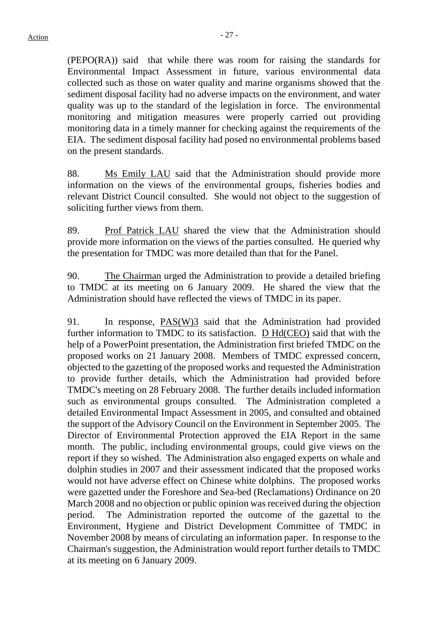(PEPO(RA)) said that while there was room for raising the standards for Environmental Impact Assessment in future, various environmental data collected such as those on water quality and marine organisms showed that the sediment disposal facility had no adverse impacts on the environment, and water quality was up to the standard of the legislation in force. The environmental monitoring and mitigation measures were properly carried out providing monitoring data in a timely manner for checking against the requirements of the EIA. The sediment disposal facility had posed no environmental problems based on the present standards.

88. Ms Emily LAU said that the Administration should provide more information on the views of the environmental groups, fisheries bodies and relevant District Council consulted. She would not object to the suggestion of soliciting further views from them.

89. Prof Patrick LAU shared the view that the Administration should provide more information on the views of the parties consulted. He queried why the presentation for TMDC was more detailed than that for the Panel.

90. The Chairman urged the Administration to provide a detailed briefing to TMDC at its meeting on 6 January 2009. He shared the view that the Administration should have reflected the views of TMDC in its paper.

91. In response, PAS(W)3 said that the Administration had provided further information to TMDC to its satisfaction. D Hd(CEO) said that with the help of a PowerPoint presentation, the Administration first briefed TMDC on the proposed works on 21 January 2008. Members of TMDC expressed concern, objected to the gazetting of the proposed works and requested the Administration to provide further details, which the Administration had provided before TMDC's meeting on 28 February 2008. The further details included information such as environmental groups consulted. The Administration completed a detailed Environmental Impact Assessment in 2005, and consulted and obtained the support of the Advisory Council on the Environment in September 2005. The Director of Environmental Protection approved the EIA Report in the same month. The public, including environmental groups, could give views on the report if they so wished. The Administration also engaged experts on whale and dolphin studies in 2007 and their assessment indicated that the proposed works would not have adverse effect on Chinese white dolphins. The proposed works were gazetted under the Foreshore and Sea-bed (Reclamations) Ordinance on 20 March 2008 and no objection or public opinion was received during the objection period. The Administration reported the outcome of the gazettal to the Environment, Hygiene and District Development Committee of TMDC in November 2008 by means of circulating an information paper. In response to the Chairman's suggestion, the Administration would report further details to TMDC at its meeting on 6 January 2009.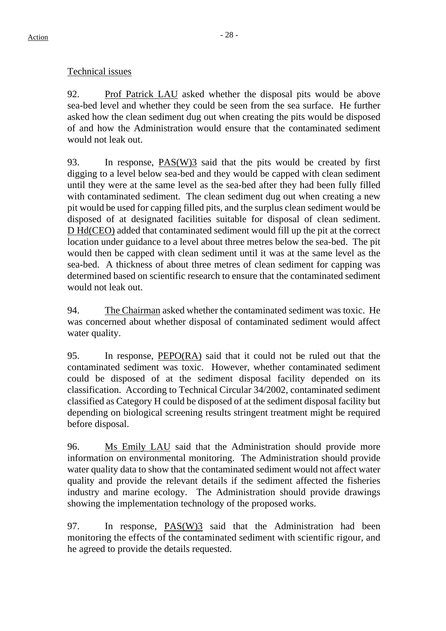# Technical issues

92. Prof Patrick LAU asked whether the disposal pits would be above sea-bed level and whether they could be seen from the sea surface. He further asked how the clean sediment dug out when creating the pits would be disposed of and how the Administration would ensure that the contaminated sediment would not leak out.

93. In response, PAS(W)3 said that the pits would be created by first digging to a level below sea-bed and they would be capped with clean sediment until they were at the same level as the sea-bed after they had been fully filled with contaminated sediment. The clean sediment dug out when creating a new pit would be used for capping filled pits, and the surplus clean sediment would be disposed of at designated facilities suitable for disposal of clean sediment. D Hd(CEO) added that contaminated sediment would fill up the pit at the correct location under guidance to a level about three metres below the sea-bed. The pit would then be capped with clean sediment until it was at the same level as the sea-bed. A thickness of about three metres of clean sediment for capping was determined based on scientific research to ensure that the contaminated sediment would not leak out.

94. The Chairman asked whether the contaminated sediment was toxic. He was concerned about whether disposal of contaminated sediment would affect water quality.

95. In response, PEPO(RA) said that it could not be ruled out that the contaminated sediment was toxic. However, whether contaminated sediment could be disposed of at the sediment disposal facility depended on its classification. According to Technical Circular 34/2002, contaminated sediment classified as Category H could be disposed of at the sediment disposal facility but depending on biological screening results stringent treatment might be required before disposal.

96. Ms Emily LAU said that the Administration should provide more information on environmental monitoring. The Administration should provide water quality data to show that the contaminated sediment would not affect water quality and provide the relevant details if the sediment affected the fisheries industry and marine ecology. The Administration should provide drawings showing the implementation technology of the proposed works.

97. In response, PAS(W)3 said that the Administration had been monitoring the effects of the contaminated sediment with scientific rigour, and he agreed to provide the details requested.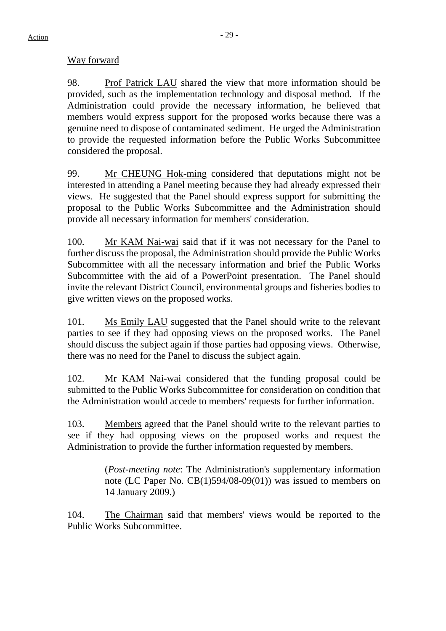# Way forward

98. Prof Patrick LAU shared the view that more information should be provided, such as the implementation technology and disposal method. If the Administration could provide the necessary information, he believed that members would express support for the proposed works because there was a genuine need to dispose of contaminated sediment. He urged the Administration to provide the requested information before the Public Works Subcommittee considered the proposal.

99. Mr CHEUNG Hok-ming considered that deputations might not be interested in attending a Panel meeting because they had already expressed their views. He suggested that the Panel should express support for submitting the proposal to the Public Works Subcommittee and the Administration should provide all necessary information for members' consideration.

100. Mr KAM Nai-wai said that if it was not necessary for the Panel to further discuss the proposal, the Administration should provide the Public Works Subcommittee with all the necessary information and brief the Public Works Subcommittee with the aid of a PowerPoint presentation. The Panel should invite the relevant District Council, environmental groups and fisheries bodies to give written views on the proposed works.

101. Ms Emily LAU suggested that the Panel should write to the relevant parties to see if they had opposing views on the proposed works. The Panel should discuss the subject again if those parties had opposing views. Otherwise, there was no need for the Panel to discuss the subject again.

102. Mr KAM Nai-wai considered that the funding proposal could be submitted to the Public Works Subcommittee for consideration on condition that the Administration would accede to members' requests for further information.

103. Members agreed that the Panel should write to the relevant parties to see if they had opposing views on the proposed works and request the Administration to provide the further information requested by members.

> (*Post-meeting note*: The Administration's supplementary information note (LC Paper No. CB(1)594/08-09(01)) was issued to members on 14 January 2009.)

104. The Chairman said that members' views would be reported to the Public Works Subcommittee.